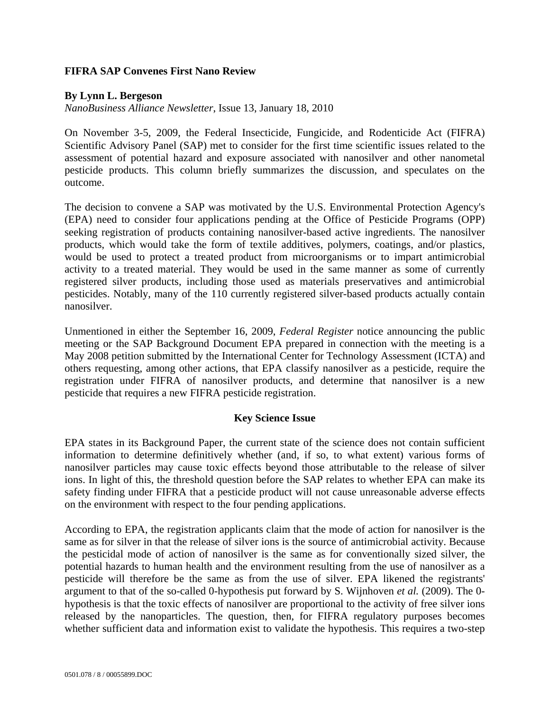## **FIFRA SAP Convenes First Nano Review**

### **By Lynn L. Bergeson**

*NanoBusiness Alliance Newsletter*, Issue 13, January 18, 2010

On November 3-5, 2009, the Federal Insecticide, Fungicide, and Rodenticide Act (FIFRA) Scientific Advisory Panel (SAP) met to consider for the first time scientific issues related to the assessment of potential hazard and exposure associated with nanosilver and other nanometal pesticide products. This column briefly summarizes the discussion, and speculates on the outcome.

The decision to convene a SAP was motivated by the U.S. Environmental Protection Agency's (EPA) need to consider four applications pending at the Office of Pesticide Programs (OPP) seeking registration of products containing nanosilver-based active ingredients. The nanosilver products, which would take the form of textile additives, polymers, coatings, and/or plastics, would be used to protect a treated product from microorganisms or to impart antimicrobial activity to a treated material. They would be used in the same manner as some of currently registered silver products, including those used as materials preservatives and antimicrobial pesticides. Notably, many of the 110 currently registered silver-based products actually contain nanosilver.

Unmentioned in either the September 16, 2009, *Federal Register* notice announcing the public meeting or the SAP Background Document EPA prepared in connection with the meeting is a May 2008 petition submitted by the International Center for Technology Assessment (ICTA) and others requesting, among other actions, that EPA classify nanosilver as a pesticide, require the registration under FIFRA of nanosilver products, and determine that nanosilver is a new pesticide that requires a new FIFRA pesticide registration.

#### **Key Science Issue**

EPA states in its Background Paper, the current state of the science does not contain sufficient information to determine definitively whether (and, if so, to what extent) various forms of nanosilver particles may cause toxic effects beyond those attributable to the release of silver ions. In light of this, the threshold question before the SAP relates to whether EPA can make its safety finding under FIFRA that a pesticide product will not cause unreasonable adverse effects on the environment with respect to the four pending applications.

According to EPA, the registration applicants claim that the mode of action for nanosilver is the same as for silver in that the release of silver ions is the source of antimicrobial activity. Because the pesticidal mode of action of nanosilver is the same as for conventionally sized silver, the potential hazards to human health and the environment resulting from the use of nanosilver as a pesticide will therefore be the same as from the use of silver. EPA likened the registrants' argument to that of the so-called 0-hypothesis put forward by S. Wijnhoven *et al.* (2009). The 0 hypothesis is that the toxic effects of nanosilver are proportional to the activity of free silver ions released by the nanoparticles. The question, then, for FIFRA regulatory purposes becomes whether sufficient data and information exist to validate the hypothesis. This requires a two-step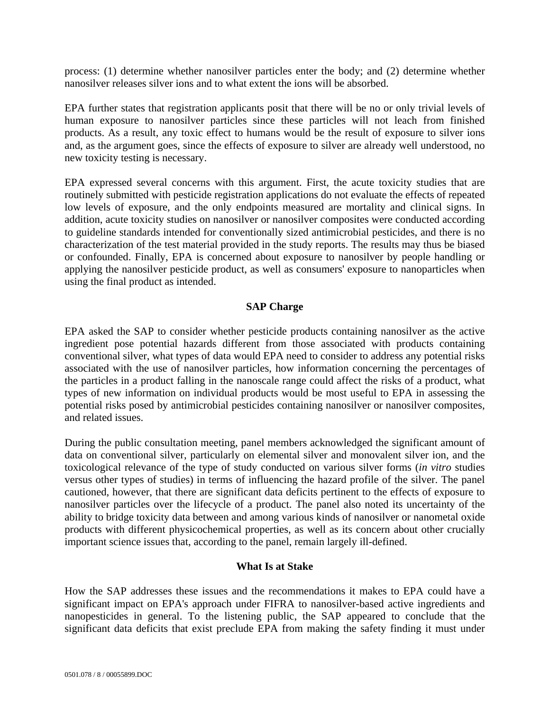process: (1) determine whether nanosilver particles enter the body; and (2) determine whether nanosilver releases silver ions and to what extent the ions will be absorbed.

EPA further states that registration applicants posit that there will be no or only trivial levels of human exposure to nanosilver particles since these particles will not leach from finished products. As a result, any toxic effect to humans would be the result of exposure to silver ions and, as the argument goes, since the effects of exposure to silver are already well understood, no new toxicity testing is necessary.

EPA expressed several concerns with this argument. First, the acute toxicity studies that are routinely submitted with pesticide registration applications do not evaluate the effects of repeated low levels of exposure, and the only endpoints measured are mortality and clinical signs. In addition, acute toxicity studies on nanosilver or nanosilver composites were conducted according to guideline standards intended for conventionally sized antimicrobial pesticides, and there is no characterization of the test material provided in the study reports. The results may thus be biased or confounded. Finally, EPA is concerned about exposure to nanosilver by people handling or applying the nanosilver pesticide product, as well as consumers' exposure to nanoparticles when using the final product as intended.

# **SAP Charge**

EPA asked the SAP to consider whether pesticide products containing nanosilver as the active ingredient pose potential hazards different from those associated with products containing conventional silver, what types of data would EPA need to consider to address any potential risks associated with the use of nanosilver particles, how information concerning the percentages of the particles in a product falling in the nanoscale range could affect the risks of a product, what types of new information on individual products would be most useful to EPA in assessing the potential risks posed by antimicrobial pesticides containing nanosilver or nanosilver composites, and related issues.

During the public consultation meeting, panel members acknowledged the significant amount of data on conventional silver, particularly on elemental silver and monovalent silver ion, and the toxicological relevance of the type of study conducted on various silver forms (*in vitro* studies versus other types of studies) in terms of influencing the hazard profile of the silver. The panel cautioned, however, that there are significant data deficits pertinent to the effects of exposure to nanosilver particles over the lifecycle of a product. The panel also noted its uncertainty of the ability to bridge toxicity data between and among various kinds of nanosilver or nanometal oxide products with different physicochemical properties, as well as its concern about other crucially important science issues that, according to the panel, remain largely ill-defined.

## **What Is at Stake**

How the SAP addresses these issues and the recommendations it makes to EPA could have a significant impact on EPA's approach under FIFRA to nanosilver-based active ingredients and nanopesticides in general. To the listening public, the SAP appeared to conclude that the significant data deficits that exist preclude EPA from making the safety finding it must under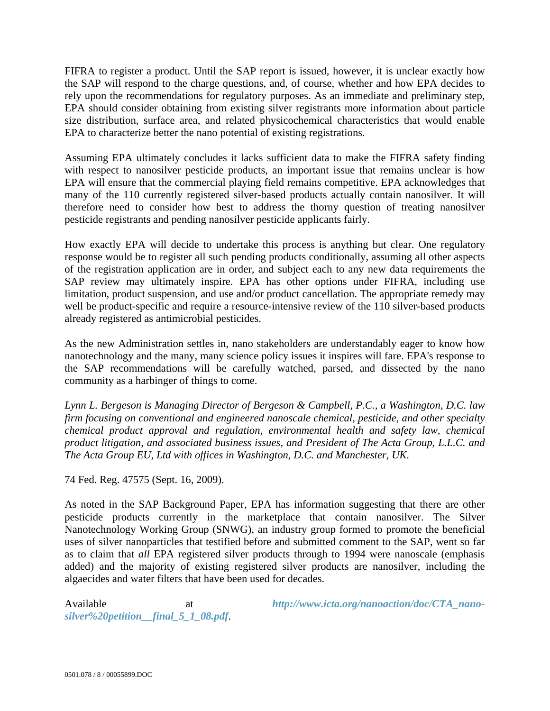FIFRA to register a product. Until the SAP report is issued, however, it is unclear exactly how the SAP will respond to the charge questions, and, of course, whether and how EPA decides to rely upon the recommendations for regulatory purposes. As an immediate and preliminary step, EPA should consider obtaining from existing silver registrants more information about particle size distribution, surface area, and related physicochemical characteristics that would enable EPA to characterize better the nano potential of existing registrations.

Assuming EPA ultimately concludes it lacks sufficient data to make the FIFRA safety finding with respect to nanosilver pesticide products, an important issue that remains unclear is how EPA will ensure that the commercial playing field remains competitive. EPA acknowledges that many of the 110 currently registered silver-based products actually contain nanosilver. It will therefore need to consider how best to address the thorny question of treating nanosilver pesticide registrants and pending nanosilver pesticide applicants fairly.

How exactly EPA will decide to undertake this process is anything but clear. One regulatory response would be to register all such pending products conditionally, assuming all other aspects of the registration application are in order, and subject each to any new data requirements the SAP review may ultimately inspire. EPA has other options under FIFRA, including use limitation, product suspension, and use and/or product cancellation. The appropriate remedy may well be product-specific and require a resource-intensive review of the 110 silver-based products already registered as antimicrobial pesticides.

As the new Administration settles in, nano stakeholders are understandably eager to know how nanotechnology and the many, many science policy issues it inspires will fare. EPA's response to the SAP recommendations will be carefully watched, parsed, and dissected by the nano community as a harbinger of things to come.

*Lynn L. Bergeson is Managing Director of Bergeson & Campbell, P.C., a Washington, D.C. law firm focusing on conventional and engineered nanoscale chemical, pesticide, and other specialty chemical product approval and regulation, environmental health and safety law, chemical product litigation, and associated business issues, and President of The Acta Group, L.L.C. and The Acta Group EU, Ltd with offices in Washington, D.C. and Manchester, UK.* 

74 Fed. Reg. 47575 (Sept. 16, 2009).

As noted in the SAP Background Paper, EPA has information suggesting that there are other pesticide products currently in the marketplace that contain nanosilver. The Silver Nanotechnology Working Group (SNWG), an industry group formed to promote the beneficial uses of silver nanoparticles that testified before and submitted comment to the SAP, went so far as to claim that *all* EPA registered silver products through to 1994 were nanoscale (emphasis added) and the majority of existing registered silver products are nanosilver, including the algaecides and water filters that have been used for decades.

*silver%20petition\_\_final\_5\_1\_08.pdf*.

Available at *http://www.icta.org/nanoaction/doc/CTA\_nano-*